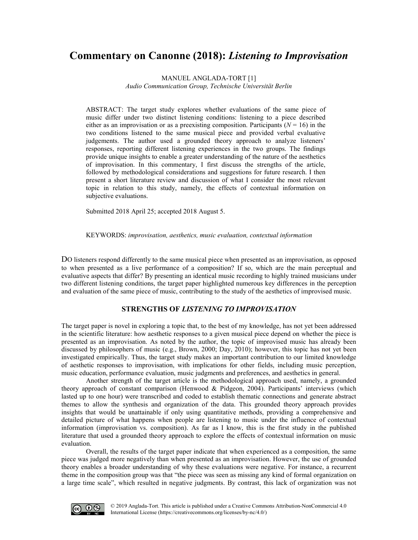# **Commentary on Canonne (2018):** *Listening to Improvisation*

MANUEL ANGLADA-TORT [1]

*Audio Communication Group, Technische Universität Berlin*

ABSTRACT: The target study explores whether evaluations of the same piece of music differ under two distinct listening conditions: listening to a piece described either as an improvisation or as a preexisting composition. Participants  $(N = 16)$  in the two conditions listened to the same musical piece and provided verbal evaluative judgements. The author used a grounded theory approach to analyze listeners' responses, reporting different listening experiences in the two groups. The findings provide unique insights to enable a greater understanding of the nature of the aesthetics of improvisation. In this commentary, I first discuss the strengths of the article, followed by methodological considerations and suggestions for future research. I then present a short literature review and discussion of what I consider the most relevant topic in relation to this study, namely, the effects of contextual information on subjective evaluations.

Submitted 2018 April 25; accepted 2018 August 5.

KEYWORDS: *improvisation, aesthetics, music evaluation, contextual information*

DO listeners respond differently to the same musical piece when presented as an improvisation, as opposed to when presented as a live performance of a composition? If so, which are the main perceptual and evaluative aspects that differ? By presenting an identical music recording to highly trained musicians under two different listening conditions, the target paper highlighted numerous key differences in the perception and evaluation of the same piece of music, contributing to the study of the aesthetics of improvised music.

# **STRENGTHS OF** *LISTENING TO IMPROVISATION*

The target paper is novel in exploring a topic that, to the best of my knowledge, has not yet been addressed in the scientific literature: how aesthetic responses to a given musical piece depend on whether the piece is presented as an improvisation. As noted by the author, the topic of improvised music has already been discussed by philosophers of music (e.g., Brown, 2000; Day, 2010); however, this topic has not yet been investigated empirically. Thus, the target study makes an important contribution to our limited knowledge of aesthetic responses to improvisation, with implications for other fields, including music perception, music education, performance evaluation, music judgments and preferences, and aesthetics in general.

Another strength of the target article is the methodological approach used, namely, a grounded theory approach of constant comparison (Henwood & Pidgeon, 2004). Participants' interviews (which lasted up to one hour) were transcribed and coded to establish thematic connections and generate abstract themes to allow the synthesis and organization of the data. This grounded theory approach provides insights that would be unattainable if only using quantitative methods, providing a comprehensive and detailed picture of what happens when people are listening to music under the influence of contextual information (improvisation vs. composition). As far as I know, this is the first study in the published literature that used a grounded theory approach to explore the effects of contextual information on music evaluation.

Overall, the results of the target paper indicate that when experienced as a composition, the same piece was judged more negatively than when presented as an improvisation. However, the use of grounded theory enables a broader understanding of why these evaluations were negative. For instance, a recurrent theme in the composition group was that "the piece was seen as missing any kind of formal organization on a large time scale", which resulted in negative judgments. By contrast, this lack of organization was not

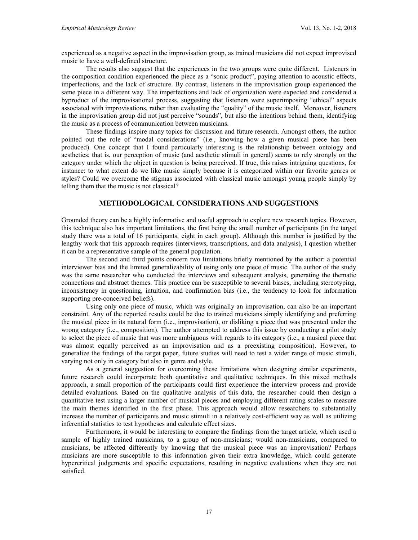experienced as a negative aspect in the improvisation group, as trained musicians did not expect improvised music to have a well-defined structure.

The results also suggest that the experiences in the two groups were quite different. Listeners in the composition condition experienced the piece as a "sonic product", paying attention to acoustic effects, imperfections, and the lack of structure. By contrast, listeners in the improvisation group experienced the same piece in a different way. The imperfections and lack of organization were expected and considered a byproduct of the improvisational process, suggesting that listeners were superimposing "ethical" aspects associated with improvisations, rather than evaluating the "quality" of the music itself. Moreover, listeners in the improvisation group did not just perceive "sounds", but also the intentions behind them, identifying the music as a process of communication between musicians.

These findings inspire many topics for discussion and future research. Amongst others, the author pointed out the role of "modal considerations" (i.e., knowing how a given musical piece has been produced). One concept that I found particularly interesting is the relationship between ontology and aesthetics; that is, our perception of music (and aesthetic stimuli in general) seems to rely strongly on the category under which the object in question is being perceived. If true, this raises intriguing questions, for instance: to what extent do we like music simply because it is categorized within our favorite genres or styles? Could we overcome the stigmas associated with classical music amongst young people simply by telling them that the music is not classical?

## **METHODOLOGICAL CONSIDERATIONS AND SUGGESTIONS**

Grounded theory can be a highly informative and useful approach to explore new research topics. However, this technique also has important limitations, the first being the small number of participants (in the target study there was a total of 16 participants, eight in each group). Although this number is justified by the lengthy work that this approach requires (interviews, transcriptions, and data analysis), I question whether it can be a representative sample of the general population.

The second and third points concern two limitations briefly mentioned by the author: a potential interviewer bias and the limited generalizability of using only one piece of music. The author of the study was the same researcher who conducted the interviews and subsequent analysis, generating the thematic connections and abstract themes. This practice can be susceptible to several biases, including stereotyping, inconsistency in questioning, intuition, and confirmation bias (i.e., the tendency to look for information supporting pre-conceived beliefs).

Using only one piece of music, which was originally an improvisation, can also be an important constraint. Any of the reported results could be due to trained musicians simply identifying and preferring the musical piece in its natural form (i.e., improvisation), or disliking a piece that was presented under the wrong category (i.e., composition). The author attempted to address this issue by conducting a pilot study to select the piece of music that was more ambiguous with regards to its category (i.e., a musical piece that was almost equally perceived as an improvisation and as a preexisting composition). However, to generalize the findings of the target paper, future studies will need to test a wider range of music stimuli, varying not only in category but also in genre and style.

As a general suggestion for overcoming these limitations when designing similar experiments, future research could incorporate both quantitative and qualitative techniques. In this mixed methods approach, a small proportion of the participants could first experience the interview process and provide detailed evaluations. Based on the qualitative analysis of this data, the researcher could then design a quantitative test using a larger number of musical pieces and employing different rating scales to measure the main themes identified in the first phase. This approach would allow researchers to substantially increase the number of participants and music stimuli in a relatively cost-efficient way as well as utilizing inferential statistics to test hypotheses and calculate effect sizes.

Furthermore, it would be interesting to compare the findings from the target article, which used a sample of highly trained musicians, to a group of non-musicians; would non-musicians, compared to musicians, be affected differently by knowing that the musical piece was an improvisation? Perhaps musicians are more susceptible to this information given their extra knowledge, which could generate hypercritical judgements and specific expectations, resulting in negative evaluations when they are not satisfied.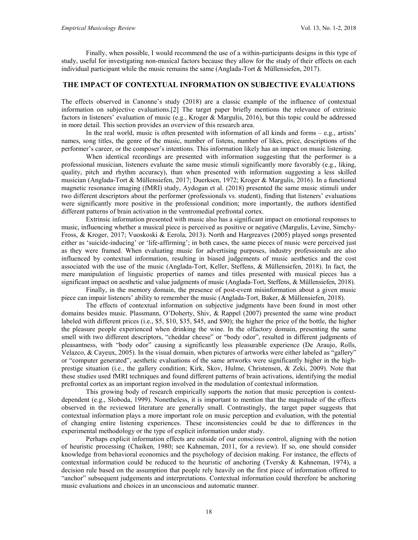Finally, when possible, I would recommend the use of a within-participants designs in this type of study, useful for investigating non-musical factors because they allow for the study of their effects on each individual participant while the music remains the same (Anglada-Tort & Müllensiefen, 2017).

## **THE IMPACT OF CONTEXTUAL INFORMATION ON SUBJECTIVE EVALUATIONS**

The effects observed in Canonne's study (2018) are a classic example of the influence of contextual information on subjective evaluations.[2] The target paper briefly mentions the relevance of extrinsic factors in listeners' evaluation of music (e.g., Kroger & Margulis, 2016), but this topic could be addressed in more detail. This section provides an overview of this research area.

In the real world, music is often presented with information of all kinds and forms – e.g., artists' names, song titles, the genre of the music, number of listens, number of likes, price, descriptions of the performer's career, or the composer's intentions. This information likely has an impact on music listening.

When identical recordings are presented with information suggesting that the performer is a professional musician, listeners evaluate the same music stimuli significantly more favorably (e.g., liking, quality, pitch and rhythm accuracy), than when presented with information suggesting a less skilled musician (Anglada-Tort & Müllensiefen, 2017; Duerksen, 1972; Kroger & Margulis, 2016). In a functional magnetic resonance imaging (fMRI) study, Aydogan et al. (2018) presented the same music stimuli under two different descriptors about the performer (professionals vs. student), finding that listeners' evaluations were significantly more positive in the professional condition; more importantly, the authors identified different patterns of brain activation in the ventromedial prefrontal cortex.

Extrinsic information presented with music also has a significant impact on emotional responses to music, influencing whether a musical piece is perceived as positive or negative (Margulis, Levine, Simchy-Fross, & Kroger, 2017; Vuoskoski & Eerola, 2013). North and Hargreaves (2005) played songs presented either as 'suicide-inducing' or 'life-affirming'; in both cases, the same pieces of music were perceived just as they were framed. When evaluating music for advertising purposes, industry professionals are also influenced by contextual information, resulting in biased judgements of music aesthetics and the cost associated with the use of the music (Anglada-Tort, Keller, Steffens, & Müllensiefen, 2018). In fact, the mere manipulation of linguistic properties of names and titles presented with musical pieces has a significant impact on aesthetic and value judgments of music (Anglada-Tort, Steffens, & Müllensiefen, 2018).

Finally, in the memory domain, the presence of post-event misinformation about a given music piece can impair listeners' ability to remember the music (Anglada-Tort, Baker, & Müllensiefen, 2018).

The effects of contextual information on subjective judgments have been found in most other domains besides music. Plassmann, O'Doherty, Shiv, & Rappel (2007) presented the same wine product labeled with different prices (i.e., \$5, \$10, \$35, \$45, and \$90); the higher the price of the bottle, the higher the pleasure people experienced when drinking the wine. In the olfactory domain, presenting the same smell with two different descriptors, "cheddar cheese" or "body odor", resulted in different judgments of pleasantness, with "body odor" causing a significantly less pleasurable experience (De Araujo, Rolls, Velazco, & Cayeux, 2005). In the visual domain, when pictures of artworks were either labeled as "gallery" or "computer generated", aesthetic evaluations of the same artworks were significantly higher in the highprestige situation (i.e., the gallery condition; Kirk, Skov, Hulme, Christensen, & Zeki, 2009). Note that these studies used fMRI techniques and found different patterns of brain activations, identifying the medial prefrontal cortex as an important region involved in the modulation of contextual information.

This growing body of research empirically supports the notion that music perception is contextdependent (e.g., Sloboda, 1999). Nonetheless, it is important to mention that the magnitude of the effects observed in the reviewed literature are generally small. Contrastingly, the target paper suggests that contextual information plays a more important role on music perception and evaluation, with the potential of changing entire listening experiences. These inconsistencies could be due to differences in the experimental methodology or the type of explicit information under study.

Perhaps explicit information effects are outside of our conscious control, aligning with the notion of heuristic processing (Chaiken, 1980; see Kahneman, 2011, for a review). If so, one should consider knowledge from behavioral economics and the psychology of decision making. For instance, the effects of contextual information could be reduced to the heuristic of anchoring (Tversky & Kahneman, 1974), a decision rule based on the assumption that people rely heavily on the first piece of information offered to "anchor" subsequent judgements and interpretations. Contextual information could therefore be anchoring music evaluations and choices in an unconscious and automatic manner.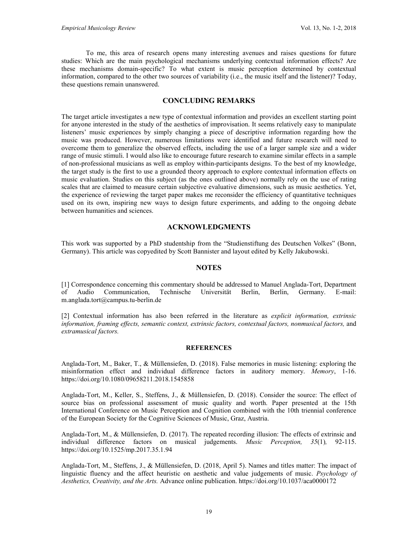To me, this area of research opens many interesting avenues and raises questions for future studies: Which are the main psychological mechanisms underlying contextual information effects? Are these mechanisms domain-specific? To what extent is music perception determined by contextual information, compared to the other two sources of variability (i.e., the music itself and the listener)? Today, these questions remain unanswered.

# **CONCLUDING REMARKS**

The target article investigates a new type of contextual information and provides an excellent starting point for anyone interested in the study of the aesthetics of improvisation. It seems relatively easy to manipulate listeners' music experiences by simply changing a piece of descriptive information regarding how the music was produced. However, numerous limitations were identified and future research will need to overcome them to generalize the observed effects, including the use of a larger sample size and a wider range of music stimuli. I would also like to encourage future research to examine similar effects in a sample of non-professional musicians as well as employ within-participants designs. To the best of my knowledge, the target study is the first to use a grounded theory approach to explore contextual information effects on music evaluation. Studies on this subject (as the ones outlined above) normally rely on the use of rating scales that are claimed to measure certain subjective evaluative dimensions, such as music aesthetics. Yet, the experience of reviewing the target paper makes me reconsider the efficiency of quantitative techniques used on its own, inspiring new ways to design future experiments, and adding to the ongoing debate between humanities and sciences.

### **ACKNOWLEDGMENTS**

This work was supported by a PhD studentship from the "Studienstiftung des Deutschen Volkes" (Bonn, Germany). This article was copyedited by Scott Bannister and layout edited by Kelly Jakubowski.

#### **NOTES**

[1] Correspondence concerning this commentary should be addressed to Manuel Anglada-Tort, Department of Audio Communication, Technische Universität Berlin, Berlin, Germany. E-mail: [m.anglada.tort@campus.tu-berlin.de](mailto:m.anglada.tort@campus.tu-berlin.de)

[2] Contextual information has also been referred in the literature as *explicit information, extrinsic information, framing effects, semantic context, extrinsic factors, contextual factors, nonmusical factors,* and *extramusical factors.*

#### **REFERENCES**

Anglada-Tort, M., Baker, T., & Müllensiefen, D. (2018). False memories in music listening: exploring the misinformation effect and individual difference factors in auditory memory. *Memory*, 1-16. <https://doi.org/10.1080/09658211.2018.1545858>

Anglada-Tort, M., Keller, S., Steffens, J., & Müllensiefen, D. (2018). Consider the source: The effect of source bias on professional assessment of music quality and worth. Paper presented at the 15th International Conference on Music Perception and Cognition combined with the 10th triennial conference of the European Society for the Cognitive Sciences of Music, Graz, Austria.

Anglada-Tort, M., & Müllensiefen, D. (2017). The repeated recording illusion: The effects of extrinsic and individual difference factors on musical judgements. *Music Perception, 35*(1)*,* 92-115. <https://doi.org/10.1525/mp.2017.35.1.94>

Anglada-Tort, M., Steffens, J., & Müllensiefen, D. (2018, April 5). Names and titles matter: The impact of linguistic fluency and the affect heuristic on aesthetic and value judgements of music. *Psychology of Aesthetics, Creativity, and the Arts.* Advance online publication. <https://doi.org/10.1037/aca0000172>